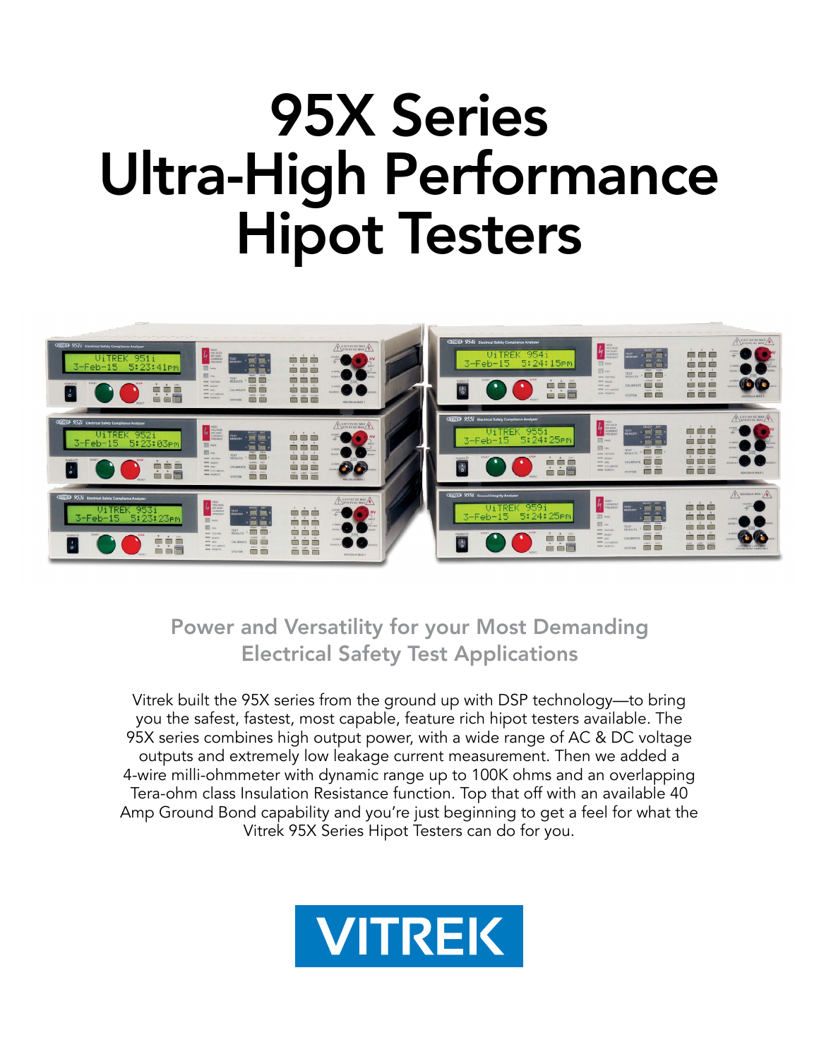# 95X Series Ultra-High Performance Hipot Testers



## Power and Versatility for your Most Demanding Electrical Safety Test Applications

Vitrek built the 95X series from the ground up with DSP technology—to bring you the safest, fastest, most capable, feature rich hipot testers available. The 95X series combines high output power, with a wide range of AC & DC voltage outputs and extremely low leakage current measurement. Then we added a 4-wire milli-ohmmeter with dynamic range up to 100K ohms and an overlapping Tera-ohm class Insulation Resistance function. Top that off with an available 40 Amp Ground Bond capability and you're just beginning to get a feel for what the Vitrek 95X Series Hipot Testers can do for you.

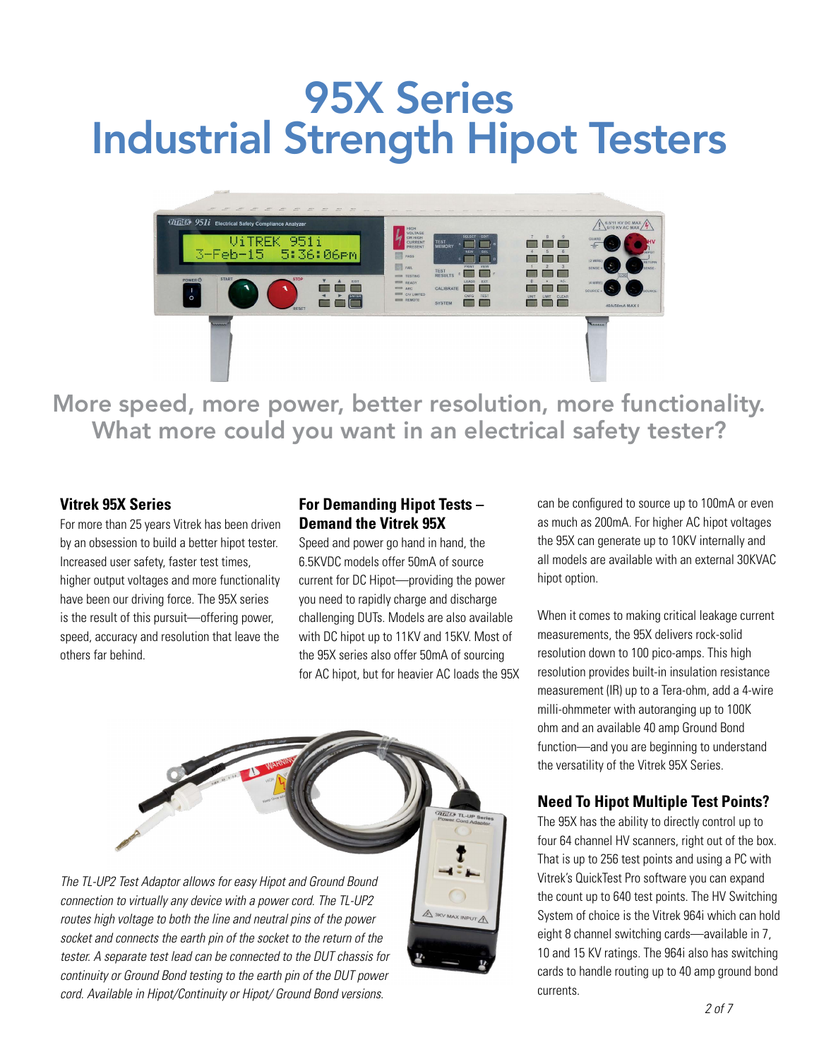# 95X Series Industrial Strength Hipot Testers



More speed, more power, better resolution, more functionality. What more could you want in an electrical safety tester?

#### **Vitrek 95X Series**

For more than 25 years Vitrek has been driven by an obsession to build a better hipot tester. Increased user safety, faster test times, higher output voltages and more functionality have been our driving force. The 95X series is the result of this pursuit—offering power, speed, accuracy and resolution that leave the others far behind.

#### **For Demanding Hipot Tests – Demand the Vitrek 95X**

Speed and power go hand in hand, the 6.5KVDC models offer 50mA of source current for DC Hipot—providing the power you need to rapidly charge and discharge challenging DUTs. Models are also available with DC hipot up to 11KV and 15KV. Most of the 95X series also offer 50mA of sourcing for AC hipot, but for heavier AC loads the 95X



*cord. Available in Hipot/Continuity or Hipot/ Ground Bond versions.*

can be configured to source up to 100mA or even as much as 200mA. For higher AC hipot voltages the 95X can generate up to 10KV internally and all models are available with an external 30KVAC hipot option.

When it comes to making critical leakage current measurements, the 95X delivers rock-solid resolution down to 100 pico-amps. This high resolution provides built-in insulation resistance measurement (IR) up to a Tera-ohm, add a 4-wire milli-ohmmeter with autoranging up to 100K ohm and an available 40 amp Ground Bond function—and you are beginning to understand the versatility of the Vitrek 95X Series.

#### **Need To Hipot Multiple Test Points?**

The 95X has the ability to directly control up to four 64 channel HV scanners, right out of the box. That is up to 256 test points and using a PC with Vitrek's QuickTest Pro software you can expand the count up to 640 test points. The HV Switching System of choice is the Vitrek 964i which can hold eight 8 channel switching cards—available in 7, 10 and 15 KV ratings. The 964i also has switching cards to handle routing up to 40 amp ground bond currents.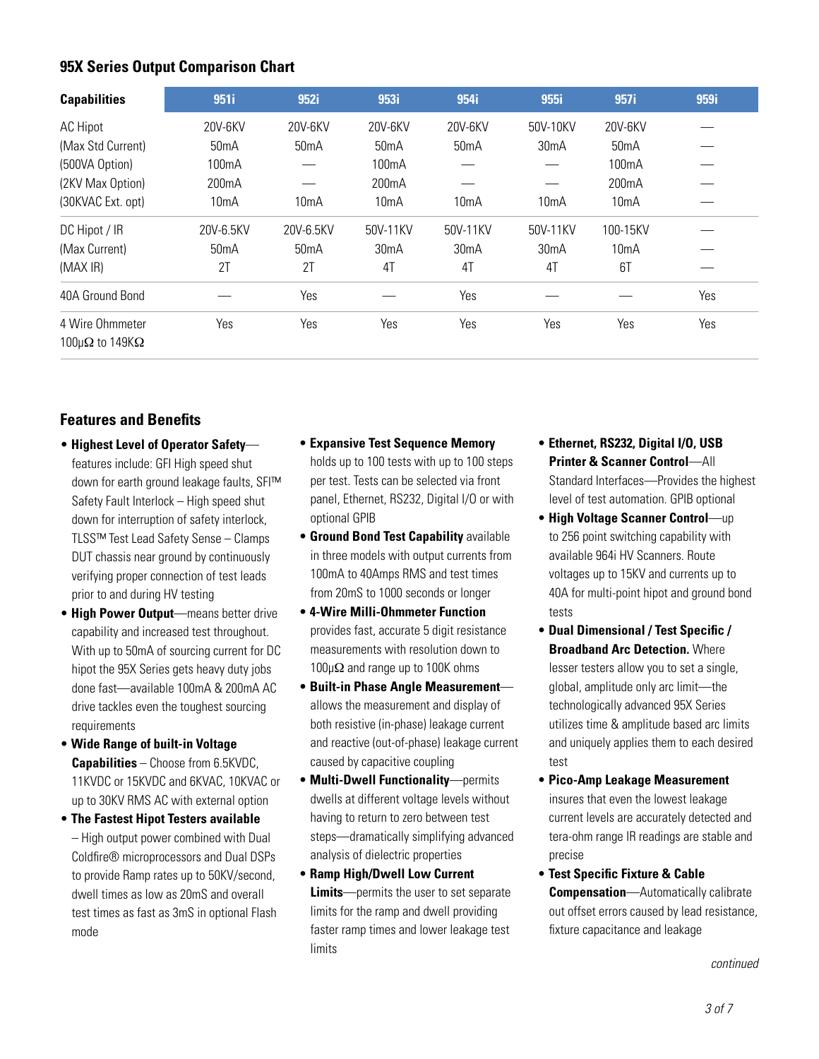#### **95X Series Output Comparison Chart**

| <b>Capabilities</b>                   | 951i              | 952i              | 953i               | 954i              | 955i              | 957i               | 959i |
|---------------------------------------|-------------------|-------------------|--------------------|-------------------|-------------------|--------------------|------|
| <b>AC Hipot</b>                       | 20V-6KV           | 20V-6KV           | 20V-6KV            | 20V-6KV           | 50V-10KV          | 20V-6KV            |      |
| (Max Std Current)                     | 50 <sub>m</sub> A | 50 <sub>m</sub> A | 50mA               | 50 <sub>m</sub> A | 30 <sub>m</sub> A | 50 <sub>m</sub> A  |      |
| (500VA Option)                        | 100mA             |                   | 100 <sub>m</sub> A |                   |                   | 100 <sub>m</sub> A |      |
| (2KV Max Option)                      | 200mA             |                   | 200 <sub>m</sub> A |                   |                   | 200mA              |      |
| (30KVAC Ext. opt)                     | 10 <sub>m</sub> A | 10mA              | 10mA               | 10mA              | 10mA              | 10 <sub>m</sub> A  |      |
| DC Hipot / IR                         | 20V-6.5KV         | 20V-6.5KV         | 50V-11KV           | 50V-11KV          | 50V-11KV          | 100-15KV           |      |
| (Max Current)                         | 50 <sub>m</sub> A | 50 <sub>m</sub> A | 30 <sub>m</sub> A  | 30 <sub>m</sub> A | 30 <sub>m</sub> A | 10 <sub>m</sub> A  |      |
| (MAX IR)                              | 2T                | 2T                | 4 <sub>T</sub>     | 4T                | 4T                | 6T                 |      |
| 40A Ground Bond                       |                   | Yes               |                    | Yes               |                   |                    | Yes  |
| 4 Wire Ohmmeter<br>$100μΩ$ to $149KΩ$ | Yes               | Yes               | Yes                | Yes               | Yes               | Yes                | Yes  |

#### **Features and Benefits**

- **Highest Level of Operator Safety** features include: GFI High speed shut down for earth ground leakage faults, SFI™ Safety Fault Interlock – High speed shut down for interruption of safety interlock, TLSS™ Test Lead Safety Sense – Clamps DUT chassis near ground by continuously verifying proper connection of test leads prior to and during HV testing
- • **High Power Output**—means better drive capability and increased test throughout. With up to 50mA of sourcing current for DC hipot the 95X Series gets heavy duty jobs done fast—available 100mA & 200mA AC drive tackles even the toughest sourcing requirements
- **Wide Range of built-in Voltage Capabilities** – Choose from 6.5KVDC, 11KVDC or 15KVDC and 6KVAC, 10KVAC or up to 30KV RMS AC with external option
- **The Fastest Hipot Testers available** – High output power combined with Dual Coldfire® microprocessors and Dual DSPs to provide Ramp rates up to 50KV/second, dwell times as low as 20mS and overall test times as fast as 3mS in optional Flash mode
- **Expansive Test Sequence Memory**  holds up to 100 tests with up to 100 steps per test. Tests can be selected via front panel, Ethernet, RS232, Digital I/O or with optional GPIB
- **Ground Bond Test Capability** available in three models with output currents from 100mA to 40Amps RMS and test times from 20mS to 1000 seconds or longer
- **4-Wire Milli-Ohmmeter Function**  provides fast, accurate 5 digit resistance measurements with resolution down to 100µΩ and range up to 100K ohms
- • **Built-in Phase Angle Measurement** allows the measurement and display of both resistive (in-phase) leakage current and reactive (out-of-phase) leakage current caused by capacitive coupling
- **Multi-Dwell Functionality**—permits dwells at different voltage levels without having to return to zero between test steps—dramatically simplifying advanced analysis of dielectric properties
- **Ramp High/Dwell Low Current Limits**—permits the user to set separate limits for the ramp and dwell providing faster ramp times and lower leakage test limits
- **Ethernet, RS232, Digital I/O, USB Printer & Scanner Control**—All Standard Interfaces—Provides the highest level of test automation. GPIB optional
- **High Voltage Scanner Control**—up to 256 point switching capability with available 964i HV Scanners. Route voltages up to 15KV and currents up to 40A for multi-point hipot and ground bond tests
- **Dual Dimensional / Test Specific / Broadband Arc Detection.** Where lesser testers allow you to set a single, global, amplitude only arc limit—the technologically advanced 95X Series utilizes time & amplitude based arc limits and uniquely applies them to each desired test
- • **Pico-Amp Leakage Measurement** insures that even the lowest leakage current levels are accurately detected and tera-ohm range IR readings are stable and precise
- **Test Specific Fixture & Cable Compensation**—Automatically calibrate out offset errors caused by lead resistance, fixture capacitance and leakage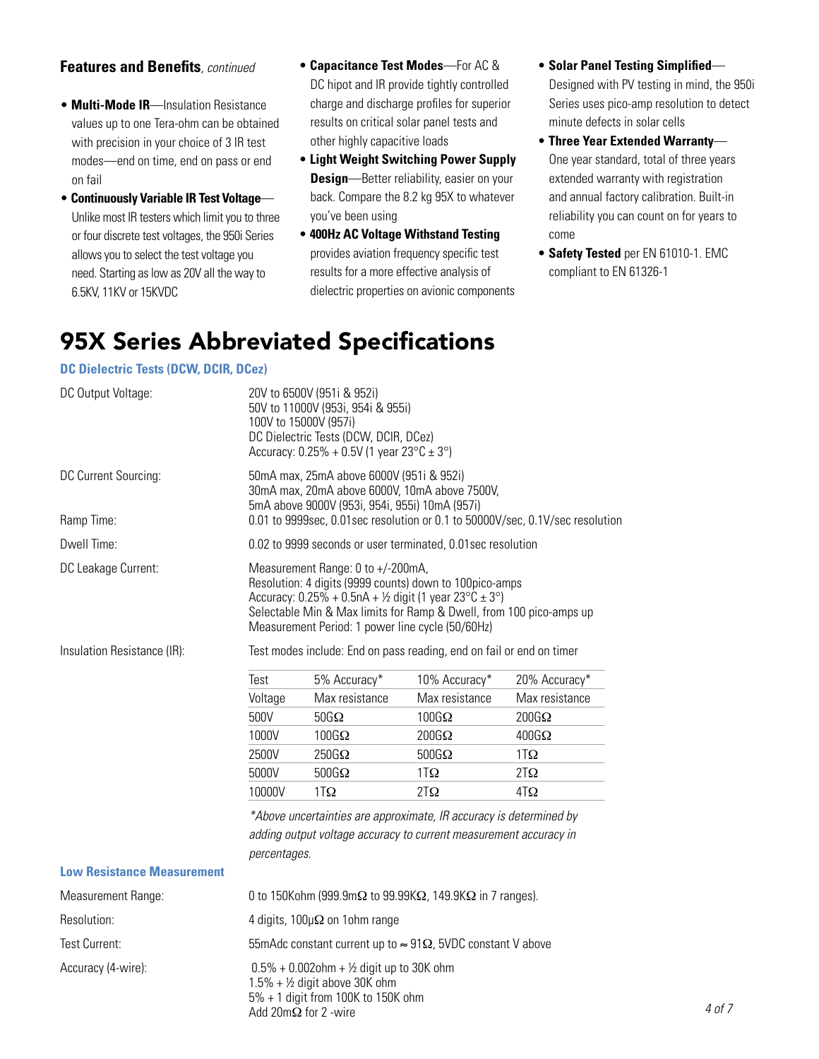#### **Features and Benefits***, continued*

- **Multi-Mode IR**—Insulation Resistance values up to one Tera-ohm can be obtained with precision in your choice of 3 IR test modes—end on time, end on pass or end on fail
- **Continuously Variable IR Test Voltage** Unlike most IR testers which limit you to three or four discrete test voltages, the 950i Series allows you to select the test voltage you need. Starting as low as 20V all the way to 6.5KV, 11KV or 15KVDC
- • **Capacitance Test Modes**—For AC & DC hipot and IR provide tightly controlled charge and discharge profiles for superior results on critical solar panel tests and other highly capacitive loads
- • **Light Weight Switching Power Supply Design**—Better reliability, easier on your back. Compare the 8.2 kg 95X to whatever you've been using
- **400Hz AC Voltage Withstand Testing**  provides aviation frequency specific test results for a more effective analysis of dielectric properties on avionic components
- **Solar Panel Testing Simplified** Designed with PV testing in mind, the 950i Series uses pico-amp resolution to detect minute defects in solar cells
- • **Three Year Extended Warranty** One year standard, total of three years extended warranty with registration and annual factory calibration. Built-in reliability you can count on for years to come
- **Safety Tested** per EN 61010-1. EMC compliant to EN 61326-1

# 95X Series Abbreviated Specifications

#### **DC Dielectric Tests (DCW, DCIR, DCez)**

| DC Output Voltage:                 | 20V to 6500V (951i & 952i)<br>50V to 11000V (953i, 954i & 955i)<br>100V to 15000V (957i)<br>DC Dielectric Tests (DCW, DCIR, DCez)<br>Accuracy: $0.25\% + 0.5V$ (1 year $23^{\circ}C \pm 3^{\circ}$ )                                                                                                            |                |                |                |  |
|------------------------------------|-----------------------------------------------------------------------------------------------------------------------------------------------------------------------------------------------------------------------------------------------------------------------------------------------------------------|----------------|----------------|----------------|--|
| DC Current Sourcing:<br>Ramp Time: | 50mA max, 25mA above 6000V (951i & 952i)<br>30mA max, 20mA above 6000V, 10mA above 7500V,<br>5mA above 9000V (953i, 954i, 955i) 10mA (957i)<br>0.01 to 9999sec, 0.01 sec resolution or 0.1 to 50000V/sec, 0.1V/sec resolution                                                                                   |                |                |                |  |
| Dwell Time:                        | 0.02 to 9999 seconds or user terminated, 0.01 sec resolution                                                                                                                                                                                                                                                    |                |                |                |  |
| DC Leakage Current:                | Measurement Range: 0 to +/-200mA,<br>Resolution: 4 digits (9999 counts) down to 100pico-amps<br>Accuracy: $0.25\% + 0.5nA + \frac{1}{2}$ digit (1 year $23^{\circ}C \pm 3^{\circ}$ )<br>Selectable Min & Max limits for Ramp & Dwell, from 100 pico-amps up<br>Measurement Period: 1 power line cycle (50/60Hz) |                |                |                |  |
| Insulation Resistance (IR):        | Test modes include: End on pass reading, end on fail or end on timer                                                                                                                                                                                                                                            |                |                |                |  |
|                                    | Test                                                                                                                                                                                                                                                                                                            | 5% Accuracy*   | 10% Accuracy*  | 20% Accuracy*  |  |
|                                    | Voltage                                                                                                                                                                                                                                                                                                         | Max resistance | Max resistance | Max resistance |  |
|                                    | 500V                                                                                                                                                                                                                                                                                                            | $50G\Omega$    | $100G\Omega$   | $200G\Omega$   |  |
|                                    | 1000V                                                                                                                                                                                                                                                                                                           | $100G\Omega$   | $200G\Omega$   | $400G\Omega$   |  |
|                                    | 2500V                                                                                                                                                                                                                                                                                                           | $250G\Omega$   | $500G\Omega$   | $1T\Omega$     |  |
|                                    | 5000V                                                                                                                                                                                                                                                                                                           | $500G\Omega$   | $1T\Omega$     | $2T\Omega$     |  |
|                                    | 10000V                                                                                                                                                                                                                                                                                                          | $1T\Omega$     | $2T\Omega$     | $4T\Omega$     |  |
|                                    | *Above uncertainties are approximate, IR accuracy is determined by<br>adding output voltage accuracy to current measurement accuracy in<br>percentages.                                                                                                                                                         |                |                |                |  |
| <b>Low Resistance Measurement</b>  |                                                                                                                                                                                                                                                                                                                 |                |                |                |  |
| Measurement Range:                 | 0 to 150Kohm (999.9mΩ to 99.99KΩ, 149.9KΩ in 7 ranges).                                                                                                                                                                                                                                                         |                |                |                |  |
| Resolution:                        | 4 digits, $100 \mu \Omega$ on 1 ohm range                                                                                                                                                                                                                                                                       |                |                |                |  |
| Test Current:                      | 55mAdc constant current up to $\approx$ 91 $\Omega$ , 5VDC constant V above                                                                                                                                                                                                                                     |                |                |                |  |
| Accuracy (4-wire):                 | $0.5\% + 0.002$ ohm + ½ digit up to 30K ohm<br>$1.5\% + \frac{1}{2}$ digit above 30K ohm<br>$5\% + 1$ digit from 100K to 150K ohm                                                                                                                                                                               |                |                |                |  |

Add 20mΩ for 2 -wire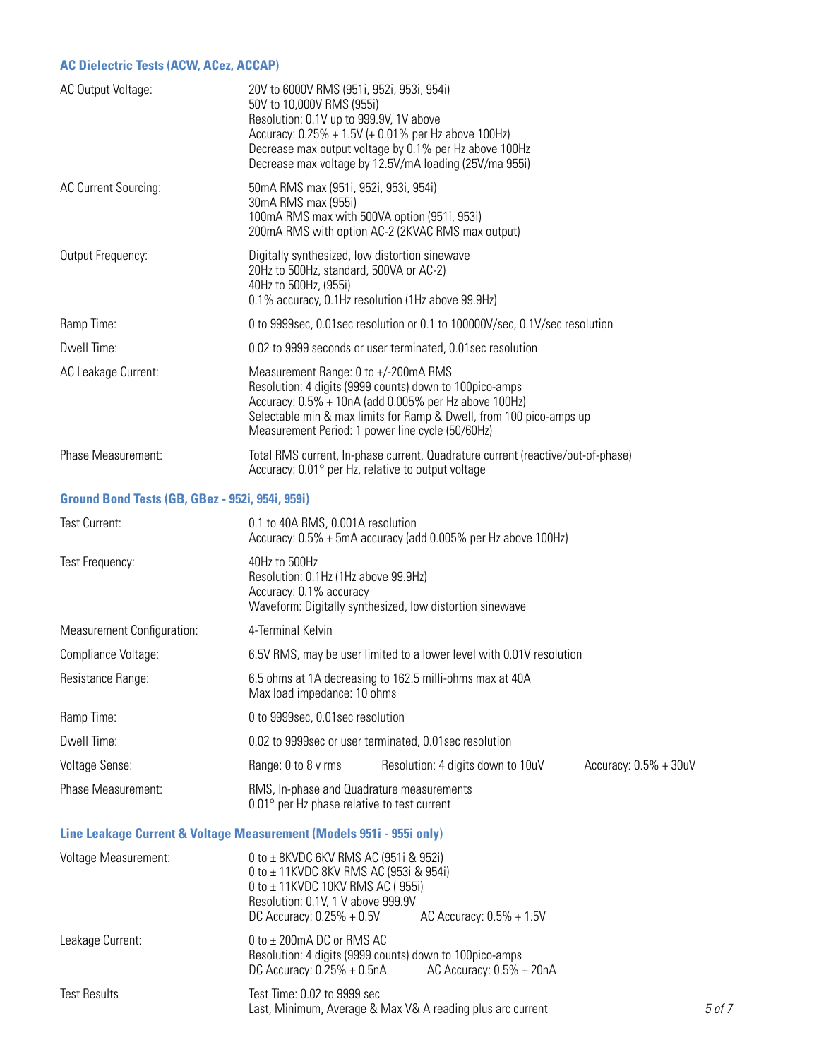#### **AC Dielectric Tests (ACW, ACez, ACCAP)**

| AC Output Voltage:                              | 20V to 6000V RMS (951i, 952i, 953i, 954i)<br>50V to 10,000V RMS (955i)<br>Resolution: 0.1V up to 999.9V, 1V above<br>Accuracy: 0.25% + 1.5V (+ 0.01% per Hz above 100Hz)<br>Decrease max output voltage by 0.1% per Hz above 100Hz<br>Decrease max voltage by 12.5V/mA loading (25V/ma 955i) |                                                                                                                                                 |                         |  |  |
|-------------------------------------------------|----------------------------------------------------------------------------------------------------------------------------------------------------------------------------------------------------------------------------------------------------------------------------------------------|-------------------------------------------------------------------------------------------------------------------------------------------------|-------------------------|--|--|
| AC Current Sourcing:                            | 30mA RMS max (955i)                                                                                                                                                                                                                                                                          | 50mA RMS max (951i, 952i, 953i, 954i)<br>100mA RMS max with 500VA option (951i, 953i)<br>200mA RMS with option AC-2 (2KVAC RMS max output)      |                         |  |  |
| Output Frequency:                               | 40Hz to 500Hz, (955i)                                                                                                                                                                                                                                                                        | Digitally synthesized, low distortion sinewave<br>20Hz to 500Hz, standard, 500VA or AC-2)<br>0.1% accuracy, 0.1Hz resolution (1Hz above 99.9Hz) |                         |  |  |
| Ramp Time:                                      |                                                                                                                                                                                                                                                                                              | 0 to 9999sec, 0.01sec resolution or 0.1 to 100000V/sec, 0.1V/sec resolution                                                                     |                         |  |  |
| Dwell Time:                                     |                                                                                                                                                                                                                                                                                              | 0.02 to 9999 seconds or user terminated, 0.01 sec resolution                                                                                    |                         |  |  |
| AC Leakage Current:                             | Measurement Range: 0 to +/-200mA RMS<br>Resolution: 4 digits (9999 counts) down to 100pico-amps<br>Accuracy: 0.5% + 10nA (add 0.005% per Hz above 100Hz)<br>Selectable min & max limits for Ramp & Dwell, from 100 pico-amps up<br>Measurement Period: 1 power line cycle (50/60Hz)          |                                                                                                                                                 |                         |  |  |
| Phase Measurement:                              |                                                                                                                                                                                                                                                                                              | Total RMS current, In-phase current, Quadrature current (reactive/out-of-phase)<br>Accuracy: 0.01° per Hz, relative to output voltage           |                         |  |  |
| Ground Bond Tests (GB, GBez - 952i, 954i, 959i) |                                                                                                                                                                                                                                                                                              |                                                                                                                                                 |                         |  |  |
| Test Current:                                   | 0.1 to 40A RMS, 0.001A resolution<br>Accuracy: 0.5% + 5mA accuracy (add 0.005% per Hz above 100Hz)                                                                                                                                                                                           |                                                                                                                                                 |                         |  |  |
| Test Frequency:                                 | 40Hz to 500Hz<br>Resolution: 0.1Hz (1Hz above 99.9Hz)<br>Accuracy: 0.1% accuracy<br>Waveform: Digitally synthesized, low distortion sinewave                                                                                                                                                 |                                                                                                                                                 |                         |  |  |
| Measurement Configuration:                      | 4-Terminal Kelvin                                                                                                                                                                                                                                                                            |                                                                                                                                                 |                         |  |  |
| Compliance Voltage:                             | 6.5V RMS, may be user limited to a lower level with 0.01V resolution                                                                                                                                                                                                                         |                                                                                                                                                 |                         |  |  |
| Resistance Range:                               | 6.5 ohms at 1A decreasing to 162.5 milli-ohms max at 40A<br>Max load impedance: 10 ohms                                                                                                                                                                                                      |                                                                                                                                                 |                         |  |  |
| Ramp Time:                                      |                                                                                                                                                                                                                                                                                              | 0 to 9999sec, 0.01sec resolution                                                                                                                |                         |  |  |
| Dwell Time:                                     |                                                                                                                                                                                                                                                                                              | 0.02 to 9999 sec or user terminated, 0.01 sec resolution                                                                                        |                         |  |  |
| Voltage Sense:                                  | Range: 0 to 8 v rms                                                                                                                                                                                                                                                                          | Resolution: 4 digits down to 10uV                                                                                                               | Accuracy: $0.5% + 30uV$ |  |  |

Phase Measurement: The RMS, In-phase and Quadrature measurements 0.01° per Hz phase relative to test current

#### **Line Leakage Current & Voltage Measurement (Models 951i - 955i only)**

| <b>Voltage Measurement:</b> | 0 to $\pm$ 8KVDC 6KV RMS AC (951i & 952i)<br>0 to $\pm$ 11KVDC 8KV RMS AC (953i & 954i)<br>0 to $\pm$ 11KVDC 10KV RMS AC (955i)<br>Resolution: 0.1V, 1 V above 999.9V |        |  |  |
|-----------------------------|-----------------------------------------------------------------------------------------------------------------------------------------------------------------------|--------|--|--|
|                             | DC Accuracy: $0.25% + 0.5V$<br>AC Accuracy: $0.5% + 1.5V$                                                                                                             |        |  |  |
| Leakage Current:            | 0 to $\pm$ 200mA DC or RMS AC<br>Resolution: 4 digits (9999 counts) down to 100 pico-amps<br>AC Accuracy: $0.5% + 20nA$<br>DC Accuracy: $0.25% + 0.5nA$               |        |  |  |
| <b>Test Results</b>         | Test Time: 0.02 to 9999 sec<br>Last, Minimum, Average & Max V& A reading plus arc current                                                                             | 5 of 7 |  |  |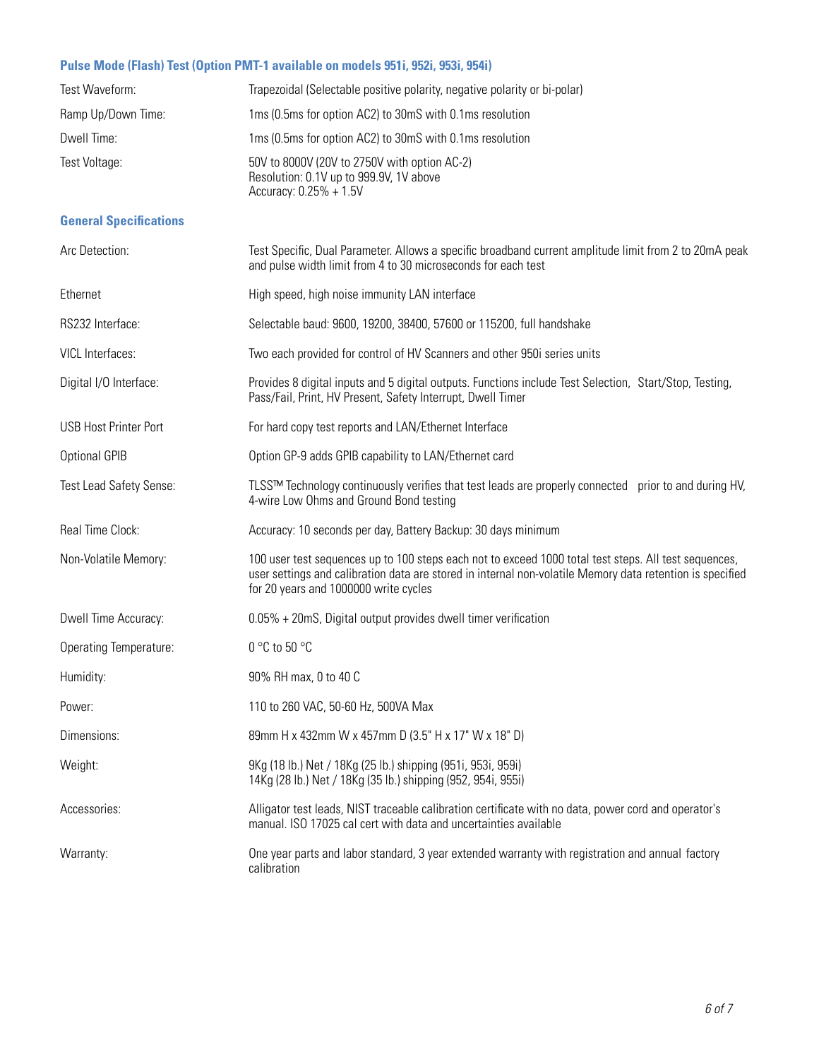#### **Pulse Mode (Flash) Test (Option PMT-1 available on models 951i, 952i, 953i, 954i)**

| Test Waveform:                | Trapezoidal (Selectable positive polarity, negative polarity or bi-polar)                                                                                                                                                                                   |
|-------------------------------|-------------------------------------------------------------------------------------------------------------------------------------------------------------------------------------------------------------------------------------------------------------|
| Ramp Up/Down Time:            | 1ms (0.5ms for option AC2) to 30mS with 0.1ms resolution                                                                                                                                                                                                    |
| Dwell Time:                   | 1ms (0.5ms for option AC2) to 30mS with 0.1ms resolution                                                                                                                                                                                                    |
| Test Voltage:                 | 50V to 8000V (20V to 2750V with option AC-2)<br>Resolution: 0.1V up to 999.9V, 1V above<br>Accuracy: 0.25% + 1.5V                                                                                                                                           |
| <b>General Specifications</b> |                                                                                                                                                                                                                                                             |
| Arc Detection:                | Test Specific, Dual Parameter. Allows a specific broadband current amplitude limit from 2 to 20mA peak<br>and pulse width limit from 4 to 30 microseconds for each test                                                                                     |
| Ethernet                      | High speed, high noise immunity LAN interface                                                                                                                                                                                                               |
| RS232 Interface:              | Selectable baud: 9600, 19200, 38400, 57600 or 115200, full handshake                                                                                                                                                                                        |
| VICL Interfaces:              | Two each provided for control of HV Scanners and other 950i series units                                                                                                                                                                                    |
| Digital I/O Interface:        | Provides 8 digital inputs and 5 digital outputs. Functions include Test Selection, Start/Stop, Testing,<br>Pass/Fail, Print, HV Present, Safety Interrupt, Dwell Timer                                                                                      |
| <b>USB Host Printer Port</b>  | For hard copy test reports and LAN/Ethernet Interface                                                                                                                                                                                                       |
| <b>Optional GPIB</b>          | Option GP-9 adds GPIB capability to LAN/Ethernet card                                                                                                                                                                                                       |
| Test Lead Safety Sense:       | TLSS™ Technology continuously verifies that test leads are properly connected prior to and during HV,<br>4-wire Low Ohms and Ground Bond testing                                                                                                            |
| Real Time Clock:              | Accuracy: 10 seconds per day, Battery Backup: 30 days minimum                                                                                                                                                                                               |
| Non-Volatile Memory:          | 100 user test sequences up to 100 steps each not to exceed 1000 total test steps. All test sequences,<br>user settings and calibration data are stored in internal non-volatile Memory data retention is specified<br>for 20 years and 1000000 write cycles |
| Dwell Time Accuracy:          | 0.05% + 20mS, Digital output provides dwell timer verification                                                                                                                                                                                              |
| <b>Operating Temperature:</b> | $0 °C$ to 50 $°C$                                                                                                                                                                                                                                           |
| Humidity:                     | 90% RH max, 0 to 40 C                                                                                                                                                                                                                                       |
| Power:                        | 110 to 260 VAC, 50-60 Hz, 500VA Max                                                                                                                                                                                                                         |
| Dimensions:                   | 89mm H x 432mm W x 457mm D (3.5" H x 17" W x 18" D)                                                                                                                                                                                                         |
| Weight:                       | 9Kg (18 lb.) Net / 18Kg (25 lb.) shipping (951i, 953i, 959i)<br>14Kg (28 lb.) Net / 18Kg (35 lb.) shipping (952, 954i, 955i)                                                                                                                                |
| Accessories:                  | Alligator test leads, NIST traceable calibration certificate with no data, power cord and operator's<br>manual. ISO 17025 cal cert with data and uncertainties available                                                                                    |
| Warranty:                     | One year parts and labor standard, 3 year extended warranty with registration and annual factory<br>calibration                                                                                                                                             |